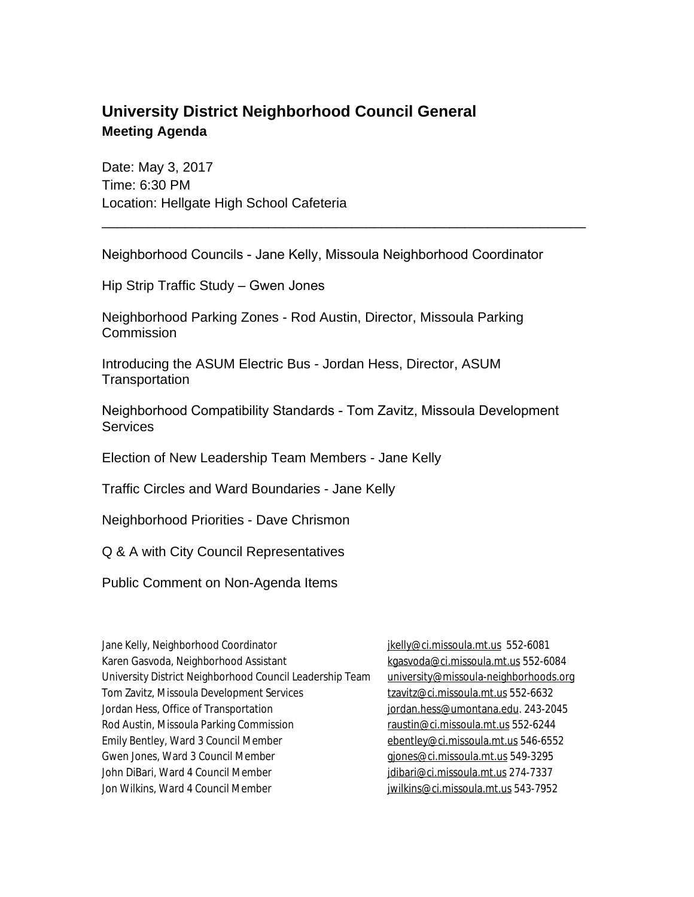## **University District Neighborhood Council General Meeting Agenda**

Date: May 3, 2017 Time: 6:30 PM Location: Hellgate High School Cafeteria

Neighborhood Councils - Jane Kelly, Missoula Neighborhood Coordinator

\_\_\_\_\_\_\_\_\_\_\_\_\_\_\_\_\_\_\_\_\_\_\_\_\_\_\_\_\_\_\_\_\_\_\_\_\_\_\_\_\_\_\_\_\_\_\_\_\_\_\_\_\_\_\_\_\_\_\_\_\_\_\_\_

Hip Strip Traffic Study – Gwen Jones

Neighborhood Parking Zones - Rod Austin, Director, Missoula Parking **Commission** 

Introducing the ASUM Electric Bus - Jordan Hess, Director, ASUM **Transportation** 

Neighborhood Compatibility Standards - Tom Zavitz, Missoula Development **Services** 

Election of New Leadership Team Members - Jane Kelly

Traffic Circles and Ward Boundaries - Jane Kelly

Neighborhood Priorities - Dave Chrismon

Q & A with City Council Representatives

Public Comment on Non-Agenda Items

| Jane Kelly, Neighborhood Coordinator                     | jkelly@ci.missoula.mt.us 552-6081     |
|----------------------------------------------------------|---------------------------------------|
| Karen Gasvoda, Neighborhood Assistant                    | kgasvoda@ci.missoula.mt.us 552-6084   |
| University District Neighborhood Council Leadership Team | university@missoula-neighborhoods.org |
| Tom Zavitz, Missoula Development Services                | tzavitz@ci.missoula.mt.us 552-6632    |
| Jordan Hess, Office of Transportation                    | jordan.hess@umontana.edu. 243-2045    |
| Rod Austin, Missoula Parking Commission                  | raustin@ci.missoula.mt.us 552-6244    |
| Emily Bentley, Ward 3 Council Member                     | ebentley@ci.missoula.mt.us 546-6552   |
| Gwen Jones, Ward 3 Council Member                        | gjones@ci.missoula.mt.us 549-3295     |
| John DiBari, Ward 4 Council Member                       | idibari@ci.missoula.mt.us 274-7337    |
| Jon Wilkins, Ward 4 Council Member                       | jwilkins@ci.missoula.mt.us 543-7952   |